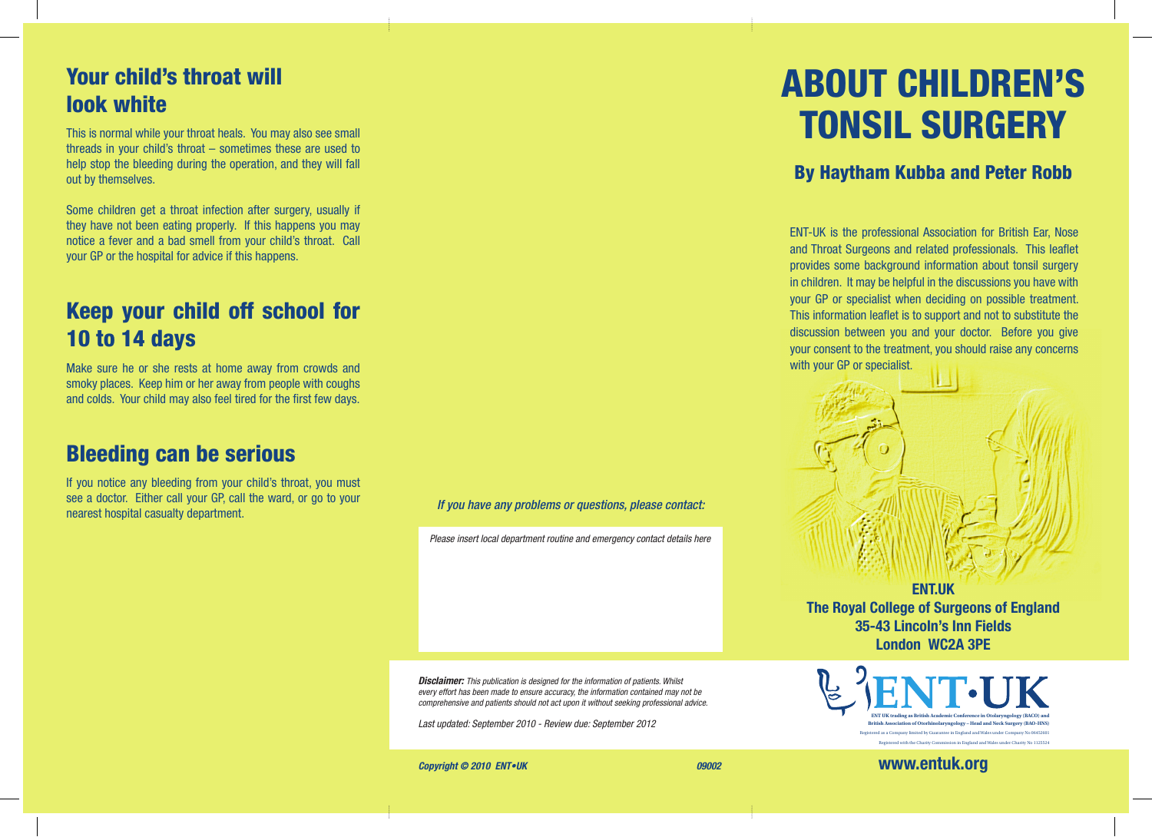# Your child's throat will look white

This is normal while your throat heals. You may also see small threads in your child's throat – sometimes these are used to help stop the bleeding during the operation, and they will fall out by themselves.

Some children get a throat infection after surgery, usually if they have not been eating properly. If this happens you may notice a fever and a bad smell from your child's throat. Call your GP or the hospital for advice if this happens.

# Keep your child off school for 10 to 14 days

Make sure he or she rests at home away from crowds and smoky places. Keep him or her away from people with coughs and colds. Your child may also feel tired for the first few days.

#### Bleeding can be serious

If you notice any bleeding from your child's throat, you must see a doctor. Either call your GP, call the ward, or go to your nearest hospital casualty department. *If you have any problems or questions, please contact:*

*Please insert local department routine and emergency contact details here*

*Disclaimer: This publication is designed for the information of patients. Whilst every effort has been made to ensure accuracy, the information contained may not be comprehensive and patients should not act upon it without seeking professional advice.*

*Last updated: September 2010 - Review due: September 2012* 

#### **Copyright © 2010 ENT•UK** 09002

# ABOUT CHILDREN'S TONSIL SURGERY

#### By Haytham Kubba and Peter Robb

ENT-UK is the professional Association for British Ear, Nose and Throat Surgeons and related professionals. This leaflet provides some background information about tonsil surgery in children. It may be helpful in the discussions you have with your GP or specialist when deciding on possible treatment. This information leaflet is to support and not to substitute the discussion between you and your doctor. Before you give your consent to the treatment, you should raise any concerns with your GP or specialist.



**The Royal College of Surgeons of England 35-43 Lincoln's Inn Fields London WC2A 3PE**



**www.entuk.org**